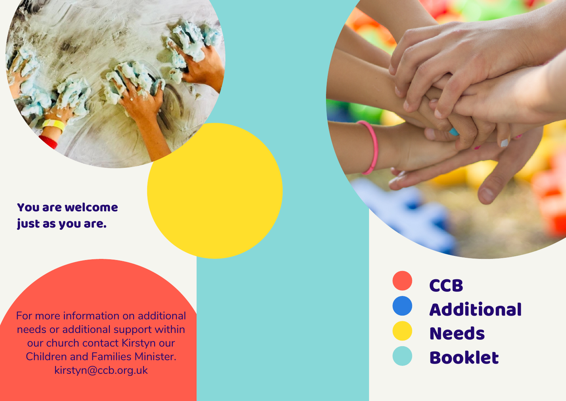You are welcome just as you are.

For more information on additional needs or additional support within our church contact Kirstyn our Children and Families Minister. kirstyn@ccb.org.uk

C C B **Additional Needs Booklet**